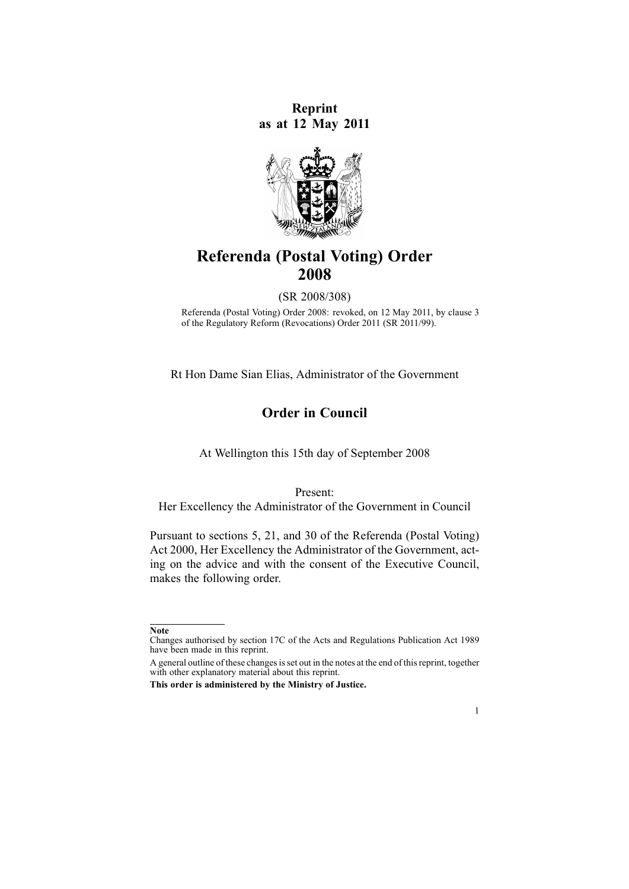**Reprint as at 12 May 2011**



# **Referenda (Postal Voting) Order 2008**

(SR 2008/308)

Referenda (Postal Voting) Order 2008: revoked, on 12 May 2011, by [clause](http://www.legislation.govt.nz/pdflink.aspx?id=DLM3608505) 3 of the Regulatory Reform (Revocations) Order 2011 (SR 2011/99).

Rt Hon Dame Sian Elias, Administrator of the Government

# **Order in Council**

At Wellington this 15th day of September 2008

Present:

Her Excellency the Administrator of the Government in Council

Pursuant to [sections](http://www.legislation.govt.nz/pdflink.aspx?id=DLM74568) 5, [21](http://www.legislation.govt.nz/pdflink.aspx?id=DLM74591), and [30](http://www.legislation.govt.nz/pdflink.aspx?id=DLM74603) of the Referenda (Postal Voting) Act 2000, Her Excellency the Administrator of the Government, acting on the advice and with the consent of the Executive Council, makes the following order.

1

**Note**

Changes authorised by [section](http://www.legislation.govt.nz/pdflink.aspx?id=DLM195466) 17C of the Acts and Regulations Publication Act 1989 have been made in this reprint.

A general outline of these changes is set out in the notes at the end of this reprint, together with other explanatory material about this reprint.

**This order is administered by the Ministry of Justice.**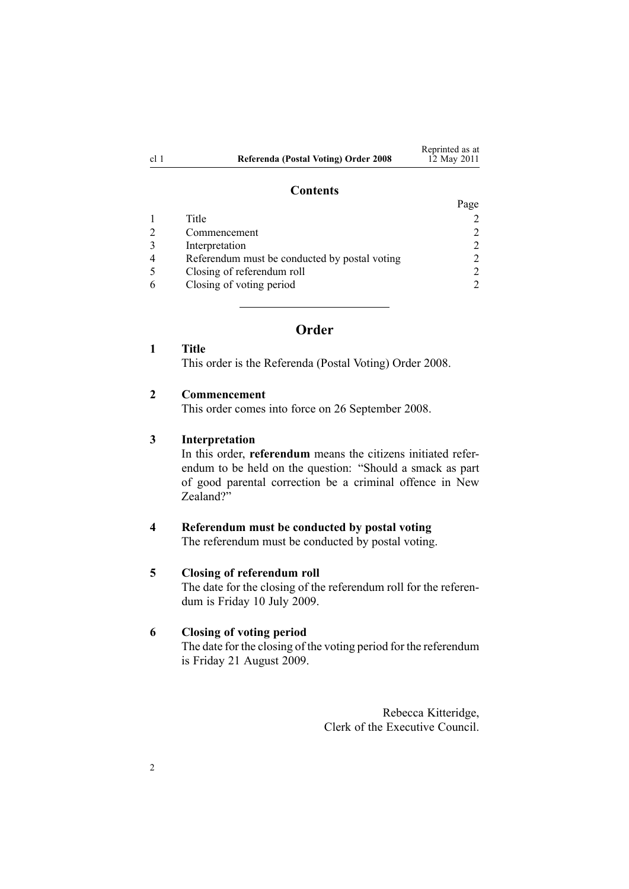|      |                                      | Reprinted as at |
|------|--------------------------------------|-----------------|
| cl 1 | Referenda (Postal Voting) Order 2008 | 12 May 2011     |

### **Contents**

|                                               | Page                        |
|-----------------------------------------------|-----------------------------|
| Title                                         |                             |
| Commencement                                  | 2                           |
| Interpretation                                | 2                           |
| Referendum must be conducted by postal voting |                             |
| Closing of referendum roll                    | $\mathcal{D}_{\mathcal{L}}$ |
| Closing of voting period                      |                             |

# **Order**

**1 Title**

This order is the Referenda (Postal Voting) Order 2008.

### **2 Commencement**

This order comes into force on 26 September 2008.

#### **3 Interpretation**

In this order, **referendum** means the citizens initiated referendum to be held on the question: "Should <sup>a</sup> smack as par<sup>t</sup> of good parental correction be <sup>a</sup> criminal offence in New Zealand?"

#### **4 Referendum must be conducted by postal voting**

The referendum must be conducted by postal voting.

# **5 Closing of referendum roll**

The date for the closing of the referendum roll for the referendum is Friday 10 July 2009.

# **6 Closing of voting period**

The date for the closing of the voting period for the referendum is Friday 21 August 2009.

> Rebecca Kitteridge, Clerk of the Executive Council.

2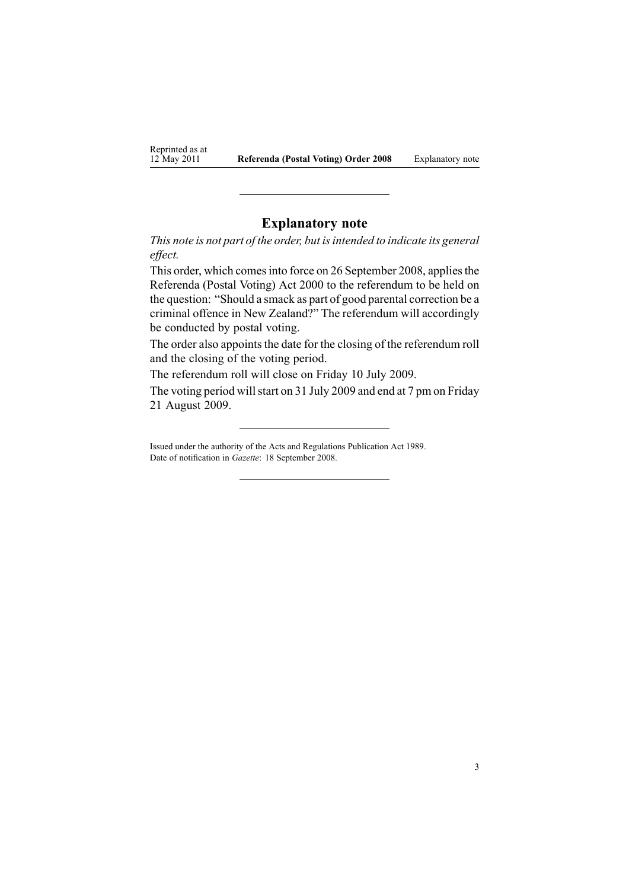Reprinted as at 12 May 2011

## **Explanatory note**

*This note is not par<sup>t</sup> of the order, but isintended to indicate its general effect.*

This order, which comes into force on 26 September 2008, applies the Referenda (Postal Voting) Act 2000 to the referendum to be held on the question: "Should <sup>a</sup> smack as par<sup>t</sup> of good parental correction be <sup>a</sup> criminal offence in New Zealand?" The referendum will accordingly be conducted by postal voting.

The order also appoints the date for the closing of the referendum roll and the closing of the voting period.

The referendum roll will close on Friday 10 July 2009.

The voting period will start on 31 July 2009 and end at 7 pm on Friday 21 August 2009.

Issued under the authority of the Acts and [Regulations](http://www.legislation.govt.nz/pdflink.aspx?id=DLM195097) Publication Act 1989. Date of notification in *Gazette*: 18 September 2008.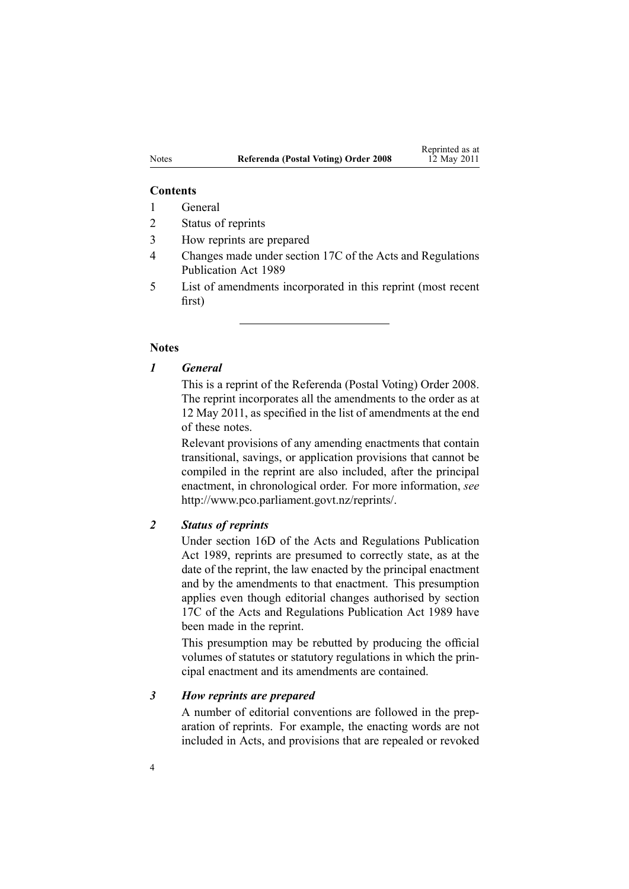#### **Contents**

- 1 General
- 2 Status of reprints
- 3 How reprints are prepared
- 4 Changes made under section 17C of the Acts and Regulations Publication Act 1989
- 5 List of amendments incorporated in this reprint (most recent first)

### **Notes**

## *1 General*

This is <sup>a</sup> reprint of the Referenda (Postal Voting) Order 2008. The reprint incorporates all the amendments to the order as at 12 May 2011, as specified in the list of amendments at the end of these notes.

Relevant provisions of any amending enactments that contain transitional, savings, or application provisions that cannot be compiled in the reprint are also included, after the principal enactment, in chronological order. For more information, *see* <http://www.pco.parliament.govt.nz/reprints/>.

## *2 Status of reprints*

Under [section](http://www.legislation.govt.nz/pdflink.aspx?id=DLM195439) 16D of the Acts and Regulations Publication Act 1989, reprints are presumed to correctly state, as at the date of the reprint, the law enacted by the principal enactment and by the amendments to that enactment. This presumption applies even though editorial changes authorised by [section](http://www.legislation.govt.nz/pdflink.aspx?id=DLM195466) [17C](http://www.legislation.govt.nz/pdflink.aspx?id=DLM195466) of the Acts and Regulations Publication Act 1989 have been made in the reprint.

This presumption may be rebutted by producing the official volumes of statutes or statutory regulations in which the principal enactment and its amendments are contained.

## *3 How reprints are prepared*

A number of editorial conventions are followed in the preparation of reprints. For example, the enacting words are not included in Acts, and provisions that are repealed or revoked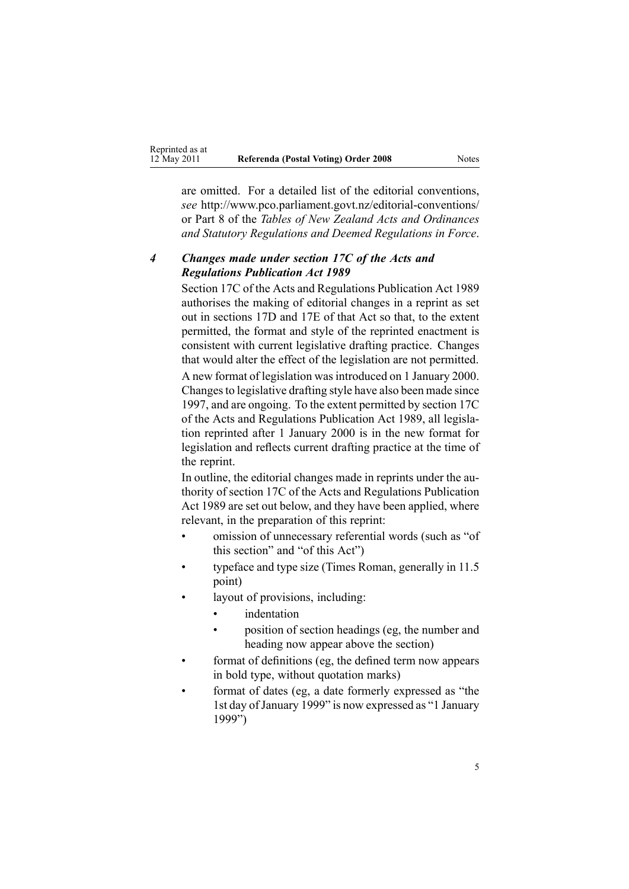are omitted. For <sup>a</sup> detailed list of the editorial conventions, *see* [http://www.pco.parliament.govt.nz/editorial-conventions/](http://www.pco.parliament.govt.nz/editorial-conventions/ ) or Part 8 of the *Tables of New Zealand Acts and Ordinances and Statutory Regulations and Deemed Regulations in Force*.

# *4 Changes made under section 17C of the Acts and Regulations Publication Act 1989*

[Section](http://www.legislation.govt.nz/pdflink.aspx?id=DLM195466) 17C of the Acts and Regulations Publication Act 1989 authorises the making of editorial changes in <sup>a</sup> reprint as set out in [sections](http://www.legislation.govt.nz/pdflink.aspx?id=DLM195468) 17D and [17E](http://www.legislation.govt.nz/pdflink.aspx?id=DLM195470) of that Act so that, to the extent permitted, the format and style of the reprinted enactment is consistent with current legislative drafting practice. Changes that would alter the effect of the legislation are not permitted.

A new format of legislation wasintroduced on 1 January 2000. Changesto legislative drafting style have also been made since 1997, and are ongoing. To the extent permitted by [section](http://www.legislation.govt.nz/pdflink.aspx?id=DLM195466) 17C of the Acts and Regulations Publication Act 1989, all legislation reprinted after 1 January 2000 is in the new format for legislation and reflects current drafting practice at the time of the reprint.

In outline, the editorial changes made in reprints under the authority of [section](http://www.legislation.govt.nz/pdflink.aspx?id=DLM195466) 17C of the Acts and Regulations Publication Act 1989 are set out below, and they have been applied, where relevant, in the preparation of this reprint:

- • omission of unnecessary referential words (such as "of this section" and "of this Act")
- • typeface and type size (Times Roman, generally in 11.5 point)
- • layout of provisions, including:
	- •indentation
	- • position of section headings (eg, the number and heading now appear above the section)
- • format of definitions (eg, the defined term now appears in bold type, without quotation marks)
- • format of dates (eg, <sup>a</sup> date formerly expressed as "the 1st day of January 1999" is now expressed as "1 January 1999")